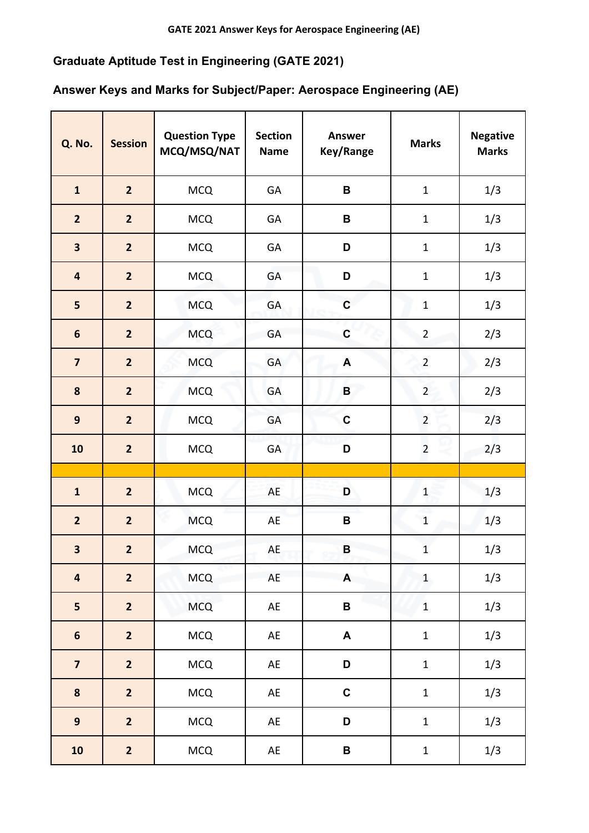## **Graduate Aptitude Test in Engineering (GATE 2021)**

## **Answer Keys and Marks for Subject/Paper: Aerospace Engineering (AE)**

| <b>Q. No.</b>           | <b>Session</b>          | <b>Question Type</b><br>MCQ/MSQ/NAT | <b>Section</b><br><b>Name</b> | <b>Answer</b><br>Key/Range | <b>Marks</b>   | <b>Negative</b><br><b>Marks</b> |
|-------------------------|-------------------------|-------------------------------------|-------------------------------|----------------------------|----------------|---------------------------------|
| $\mathbf{1}$            | $\overline{2}$          | <b>MCQ</b>                          | GA                            | $\, {\bf B}$               | $\mathbf 1$    | 1/3                             |
| $\overline{2}$          | $\overline{2}$          | <b>MCQ</b>                          | GA                            | $\, {\bf B}$               | $\mathbf 1$    | 1/3                             |
| $\overline{\mathbf{3}}$ | $\overline{2}$          | <b>MCQ</b>                          | GA                            | D                          | $\mathbf 1$    | 1/3                             |
| $\overline{\mathbf{4}}$ | $\overline{2}$          | <b>MCQ</b>                          | GA                            | D                          | $\mathbf 1$    | 1/3                             |
| 5                       | $\overline{2}$          | <b>MCQ</b>                          | <b>GA</b>                     | $\mathbf C$                | $\mathbf 1$    | 1/3                             |
| $\boldsymbol{6}$        | $\overline{2}$          | <b>MCQ</b>                          | GA                            | $\mathbf C$                | $\overline{2}$ | 2/3                             |
| $\overline{\mathbf{z}}$ | $\overline{\mathbf{2}}$ | <b>MCQ</b>                          | GA                            | $\blacktriangle$           | $\overline{2}$ | 2/3                             |
| $\pmb{8}$               | $\overline{2}$          | <b>MCQ</b>                          | GA                            | $\, {\bf B}$               | $\overline{2}$ | 2/3                             |
| $\mathbf{9}$            | $\overline{2}$          | <b>MCQ</b>                          | GA                            | $\mathbf C$                | $\overline{2}$ | 2/3                             |
| 10                      | $\overline{2}$          | <b>MCQ</b>                          | GA                            | D                          | $\overline{2}$ | 2/3                             |
|                         |                         |                                     |                               |                            |                |                                 |
| $\mathbf{1}$            | $\overline{2}$          | <b>MCQ</b>                          | AE                            | D                          | $\mathbf{1}$   | 1/3                             |
| $\overline{2}$          | $\overline{2}$          | <b>MCQ</b>                          | AE                            | B                          | $\mathbf{1}$   | 1/3                             |
| 3                       | $\overline{\mathbf{2}}$ | <b>MCQ</b>                          | AE                            | $\, {\bf B}$               | $\mathbf{1}$   | 1/3                             |
| $\overline{\mathbf{4}}$ | $\overline{2}$          | <b>MCQ</b>                          | AE                            | A                          | $\mathbf{1}$   | 1/3                             |
| 5                       | $\overline{\mathbf{2}}$ | <b>MCQ</b>                          | AE                            | $\, {\bf B} \,$            | $\mathbf{1}$   | 1/3                             |
| $\boldsymbol{6}$        | $\overline{\mathbf{2}}$ | <b>MCQ</b>                          | AE                            | A                          | $\mathbf 1$    | 1/3                             |
| $\overline{\mathbf{z}}$ | $\overline{2}$          | <b>MCQ</b>                          | AE                            | D                          | $\mathbf 1$    | 1/3                             |
| ${\bf 8}$               | $\overline{2}$          | <b>MCQ</b>                          | AE                            | $\mathbf C$                | $\mathbf 1$    | 1/3                             |
| $\mathbf{9}$            | $\overline{2}$          | <b>MCQ</b>                          | AE                            | D                          | $\mathbf 1$    | 1/3                             |
| ${\bf 10}$              | $\overline{\mathbf{2}}$ | <b>MCQ</b>                          | $\mathsf{A}\mathsf{E}$        | $\, {\bf B} \,$            | $\mathbf 1$    | 1/3                             |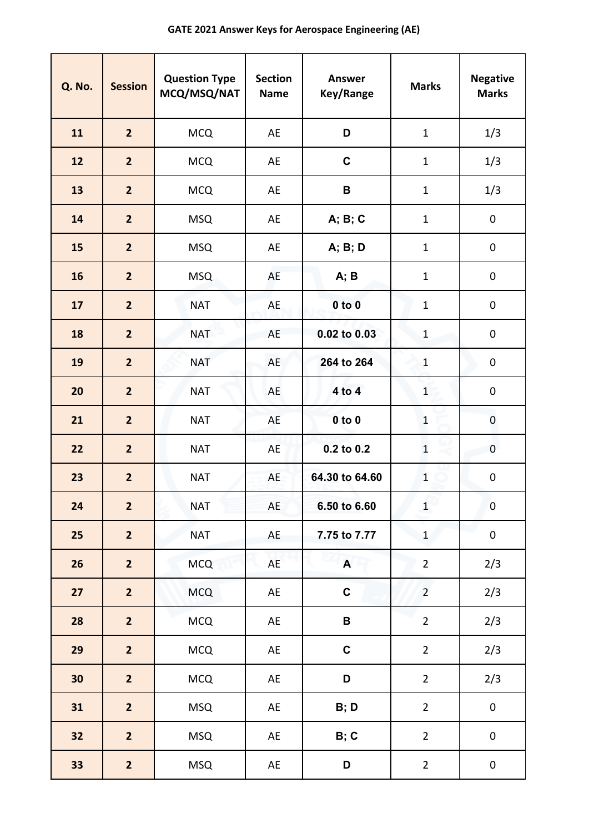## **GATE 2021 Answer Keys for Aerospace Engineering (AE)**

| <b>Q. No.</b> | <b>Session</b>          | <b>Question Type</b><br>MCQ/MSQ/NAT | <b>Section</b><br><b>Name</b> | <b>Answer</b><br>Key/Range | <b>Marks</b>   | <b>Negative</b><br><b>Marks</b> |
|---------------|-------------------------|-------------------------------------|-------------------------------|----------------------------|----------------|---------------------------------|
| 11            | $\overline{2}$          | <b>MCQ</b>                          | AE                            | D                          | $\mathbf{1}$   | 1/3                             |
| 12            | $\overline{2}$          | <b>MCQ</b>                          | AE                            | $\mathbf c$                | $\mathbf{1}$   | 1/3                             |
| 13            | $\overline{2}$          | <b>MCQ</b>                          | AE                            | B                          | $\mathbf{1}$   | 1/3                             |
| 14            | $\overline{2}$          | <b>MSQ</b>                          | AE                            | A; B; C                    | $\mathbf{1}$   | $\pmb{0}$                       |
| 15            | $\overline{2}$          | <b>MSQ</b>                          | AE                            | A; B; D                    | $\mathbf 1$    | $\pmb{0}$                       |
| 16            | $\overline{2}$          | <b>MSQ</b>                          | AE                            | A; B                       | $\mathbf{1}$   | 0                               |
| 17            | $\overline{2}$          | <b>NAT</b>                          | AE                            | $0$ to $0$                 | $\mathbf{1}$   | $\pmb{0}$                       |
| 18            | $\overline{2}$          | <b>NAT</b>                          | AE                            | 0.02 to 0.03               | $\mathbf{1}$   | 0                               |
| 19            | $\overline{2}$          | <b>NAT</b>                          | AE                            | 264 to 264                 | $\mathbf{1}$   | $\pmb{0}$                       |
| 20            | $\overline{2}$          | <b>NAT</b>                          | AE                            | 4 to 4                     | $\mathbf{1}$   | $\pmb{0}$                       |
| 21            | $\overline{2}$          | <b>NAT</b>                          | AE                            | $0$ to $0$                 | $\mathbf{1}$   | 0                               |
| 22            | $\overline{2}$          | <b>NAT</b>                          | <b>AE</b>                     | $0.2$ to $0.2$             | $\mathbf 1$    | $\pmb{0}$                       |
| 23            | $\overline{2}$          | <b>NAT</b>                          | AE                            | 64.30 to 64.60             | $\mathbf{1}$   | 0                               |
| 24            | $\overline{2}$          | <b>NAT</b>                          | AE                            | 6.50 to 6.60               | $\mathbf{1}$   | $\pmb{0}$                       |
| 25            | $\overline{2}$          | <b>NAT</b>                          | AE                            | 7.75 to 7.77               | $\mathbf{1}$   | $\pmb{0}$                       |
| 26            | $\overline{\mathbf{2}}$ | <b>MCQ</b>                          | AE                            | $\mathbf{A}$               | $\overline{2}$ | 2/3                             |
| 27            | $\overline{2}$          | <b>MCQ</b>                          | AE                            | $\mathbf C$                | $\overline{2}$ | 2/3                             |
| 28            | $\overline{2}$          | <b>MCQ</b>                          | AE                            | $\, {\bf B}$               | $\overline{2}$ | 2/3                             |
| 29            | $\overline{2}$          | <b>MCQ</b>                          | AE                            | $\mathbf C$                | $\overline{2}$ | 2/3                             |
| 30            | $\overline{2}$          | <b>MCQ</b>                          | AE                            | D                          | $\overline{2}$ | 2/3                             |
| 31            | $\overline{2}$          | <b>MSQ</b>                          | AE                            | B; D                       | $\overline{2}$ | $\pmb{0}$                       |
| 32            | $\overline{2}$          | <b>MSQ</b>                          | AE                            | B; C                       | $\overline{2}$ | $\pmb{0}$                       |
| 33            | $\overline{\mathbf{2}}$ | <b>MSQ</b>                          | AE                            | D                          | $\overline{2}$ | $\pmb{0}$                       |